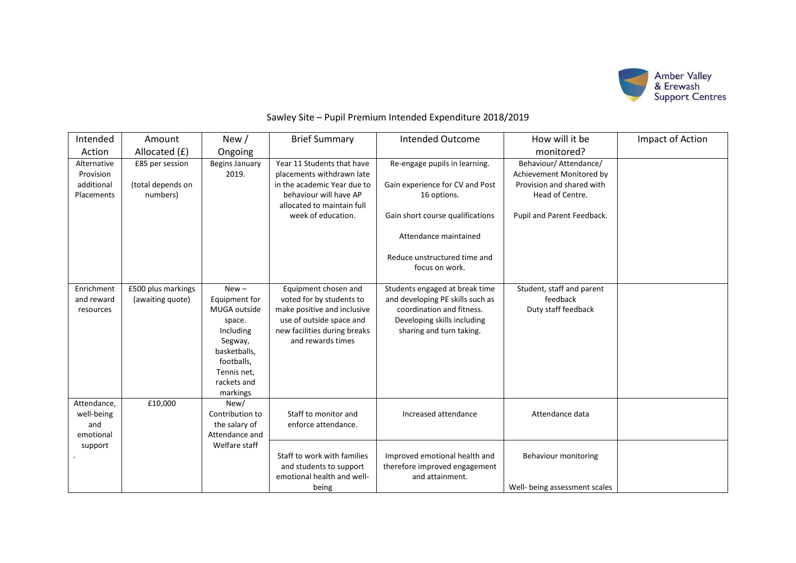

## Sawley Site – Pupil Premium Intended Expenditure 2018/2019

| Intended                                             | Amount                                           | New/                                                                                                                                               | <b>Brief Summary</b>                                                                                                                                                 | <b>Intended Outcome</b>                                                                                                                                    | How will it be                                                                                                                   | Impact of Action |
|------------------------------------------------------|--------------------------------------------------|----------------------------------------------------------------------------------------------------------------------------------------------------|----------------------------------------------------------------------------------------------------------------------------------------------------------------------|------------------------------------------------------------------------------------------------------------------------------------------------------------|----------------------------------------------------------------------------------------------------------------------------------|------------------|
| Action                                               | Allocated (£)                                    | Ongoing                                                                                                                                            |                                                                                                                                                                      |                                                                                                                                                            | monitored?                                                                                                                       |                  |
| Alternative<br>Provision<br>additional<br>Placements | £85 per session<br>(total depends on<br>numbers) | Begins January<br>2019.                                                                                                                            | Year 11 Students that have<br>placements withdrawn late<br>in the academic Year due to<br>behaviour will have AP<br>allocated to maintain full<br>week of education. | Re-engage pupils in learning.<br>Gain experience for CV and Post<br>16 options.<br>Gain short course qualifications<br>Attendance maintained               | Behaviour/ Attendance/<br>Achievement Monitored by<br>Provision and shared with<br>Head of Centre.<br>Pupil and Parent Feedback. |                  |
|                                                      |                                                  |                                                                                                                                                    |                                                                                                                                                                      | Reduce unstructured time and<br>focus on work.                                                                                                             |                                                                                                                                  |                  |
| Enrichment<br>and reward<br>resources                | £500 plus markings<br>(awaiting quote)           | $New -$<br>Equipment for<br>MUGA outside<br>space.<br>Including<br>Segway,<br>basketballs,<br>footballs,<br>Tennis net,<br>rackets and<br>markings | Equipment chosen and<br>voted for by students to<br>make positive and inclusive<br>use of outside space and<br>new facilities during breaks<br>and rewards times     | Students engaged at break time<br>and developing PE skills such as<br>coordination and fitness.<br>Developing skills including<br>sharing and turn taking. | Student, staff and parent<br>feedback<br>Duty staff feedback                                                                     |                  |
| Attendance,<br>well-being<br>and<br>emotional        | £10,000                                          | New/<br>Contribution to<br>the salary of<br>Attendance and                                                                                         | Staff to monitor and<br>enforce attendance.                                                                                                                          | Increased attendance                                                                                                                                       | Attendance data                                                                                                                  |                  |
| support                                              |                                                  | Welfare staff                                                                                                                                      | Staff to work with families<br>and students to support<br>emotional health and well-<br>being                                                                        | Improved emotional health and<br>therefore improved engagement<br>and attainment.                                                                          | Behaviour monitoring<br>Well- being assessment scales                                                                            |                  |